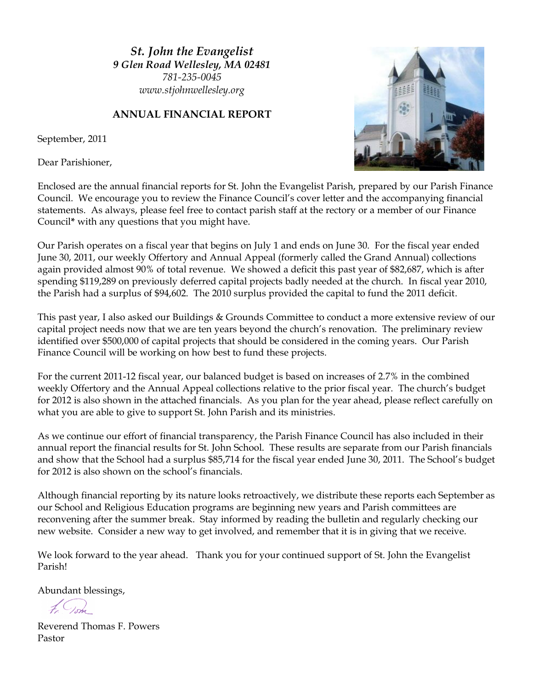*St. John the Evangelist 9 Glen Road Wellesley, MA 02481 781-235-0045 www.stjohnwellesley.org*

### **ANNUAL FINANCIAL REPORT**

September, 2011

Dear Parishioner,



Enclosed are the annual financial reports for St. John the Evangelist Parish, prepared by our Parish Finance Council. We encourage you to review the Finance Council's cover letter and the accompanying financial statements. As always, please feel free to contact parish staff at the rectory or a member of our Finance Council**\*** with any questions that you might have.

Our Parish operates on a fiscal year that begins on July 1 and ends on June 30. For the fiscal year ended June 30, 2011, our weekly Offertory and Annual Appeal (formerly called the Grand Annual) collections again provided almost 90% of total revenue. We showed a deficit this past year of \$82,687, which is after spending \$119,289 on previously deferred capital projects badly needed at the church. In fiscal year 2010, the Parish had a surplus of \$94,602. The 2010 surplus provided the capital to fund the 2011 deficit.

This past year, I also asked our Buildings & Grounds Committee to conduct a more extensive review of our capital project needs now that we are ten years beyond the church's renovation. The preliminary review identified over \$500,000 of capital projects that should be considered in the coming years. Our Parish Finance Council will be working on how best to fund these projects.

For the current 2011-12 fiscal year, our balanced budget is based on increases of 2.7% in the combined weekly Offertory and the Annual Appeal collections relative to the prior fiscal year. The church's budget for 2012 is also shown in the attached financials. As you plan for the year ahead, please reflect carefully on what you are able to give to support St. John Parish and its ministries.

As we continue our effort of financial transparency, the Parish Finance Council has also included in their annual report the financial results for St. John School. These results are separate from our Parish financials and show that the School had a surplus \$85,714 for the fiscal year ended June 30, 2011. The School's budget for 2012 is also shown on the school's financials.

Although financial reporting by its nature looks retroactively, we distribute these reports each September as our School and Religious Education programs are beginning new years and Parish committees are reconvening after the summer break. Stay informed by reading the bulletin and regularly checking our new website. Consider a new way to get involved, and remember that it is in giving that we receive.

We look forward to the year ahead. Thank you for your continued support of St. John the Evangelist Parish!

Abundant blessings,

Reverend Thomas F. Powers Pastor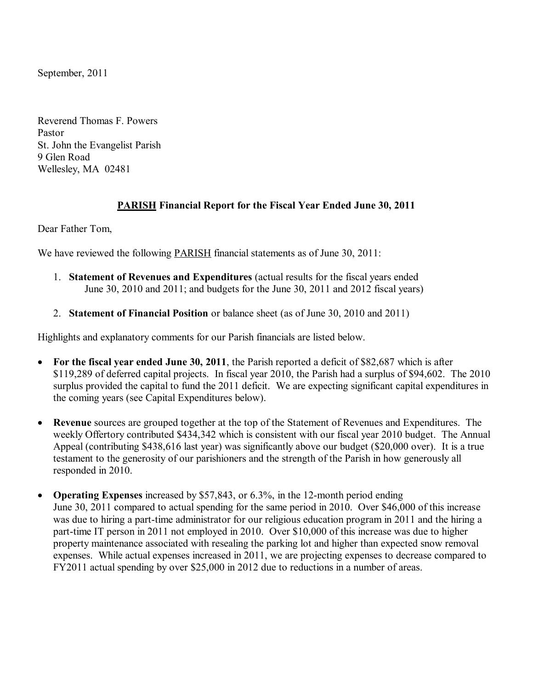September, 2011

Reverend Thomas F. Powers Pastor St. John the Evangelist Parish 9 Glen Road Wellesley, MA 02481

### **PARISH Financial Report for the Fiscal Year Ended June 30, 2011**

Dear Father Tom,

We have reviewed the following **PARISH** financial statements as of June 30, 2011:

- 1. **Statement of Revenues and Expenditures** (actual results for the fiscal years ended June 30, 2010 and 2011; and budgets for the June 30, 2011 and 2012 fiscal years)
- 2. **Statement of Financial Position** or balance sheet (as of June 30, 2010 and 2011)

Highlights and explanatory comments for our Parish financials are listed below.

- **For the fiscal year ended June 30, 2011**, the Parish reported a deficit of \$82,687 which is after \$119,289 of deferred capital projects. In fiscal year 2010, the Parish had a surplus of \$94,602. The 2010 surplus provided the capital to fund the 2011 deficit. We are expecting significant capital expenditures in the coming years (see Capital Expenditures below).
- **Revenue** sources are grouped together at the top of the Statement of Revenues and Expenditures. The weekly Offertory contributed \$434,342 which is consistent with our fiscal year 2010 budget. The Annual Appeal (contributing \$438,616 last year) was significantly above our budget (\$20,000 over). It is a true testament to the generosity of our parishioners and the strength of the Parish in how generously all responded in 2010.
- **Operating Expenses** increased by \$57,843, or 6.3%, in the 12-month period ending June 30, 2011 compared to actual spending for the same period in 2010. Over \$46,000 of this increase was due to hiring a part-time administrator for our religious education program in 2011 and the hiring a part-time IT person in 2011 not employed in 2010. Over \$10,000 of this increase was due to higher property maintenance associated with resealing the parking lot and higher than expected snow removal expenses. While actual expenses increased in 2011, we are projecting expenses to decrease compared to FY2011 actual spending by over \$25,000 in 2012 due to reductions in a number of areas.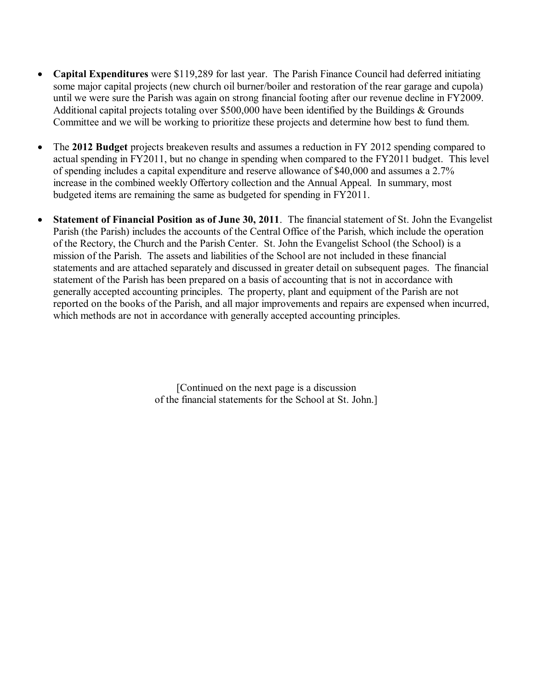- **Capital Expenditures** were \$119,289 for last year. The Parish Finance Council had deferred initiating some major capital projects (new church oil burner/boiler and restoration of the rear garage and cupola) until we were sure the Parish was again on strong financial footing after our revenue decline in FY2009. Additional capital projects totaling over \$500,000 have been identified by the Buildings & Grounds Committee and we will be working to prioritize these projects and determine how best to fund them.
- The **2012 Budget** projects breakeven results and assumes a reduction in FY 2012 spending compared to actual spending in FY2011, but no change in spending when compared to the FY2011 budget. This level of spending includes a capital expenditure and reserve allowance of \$40,000 and assumes a 2.7% increase in the combined weekly Offertory collection and the Annual Appeal. In summary, most budgeted items are remaining the same as budgeted for spending in FY2011.
- **Statement of Financial Position as of June 30, 2011**. The financial statement of St. John the Evangelist Parish (the Parish) includes the accounts of the Central Office of the Parish, which include the operation of the Rectory, the Church and the Parish Center. St. John the Evangelist School (the School) is a mission of the Parish. The assets and liabilities of the School are not included in these financial statements and are attached separately and discussed in greater detail on subsequent pages. The financial statement of the Parish has been prepared on a basis of accounting that is not in accordance with generally accepted accounting principles. The property, plant and equipment of the Parish are not reported on the books of the Parish, and all major improvements and repairs are expensed when incurred, which methods are not in accordance with generally accepted accounting principles.

[Continued on the next page is a discussion of the financial statements for the School at St. John.]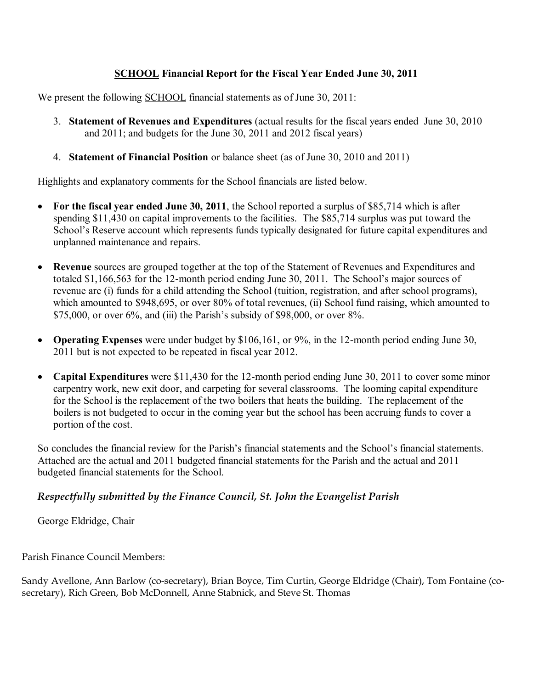### **SCHOOL Financial Report for the Fiscal Year Ended June 30, 2011**

We present the following SCHOOL financial statements as of June 30, 2011:

- 3. **Statement of Revenues and Expenditures** (actual results for the fiscal years ended June 30, 2010 and 2011; and budgets for the June 30, 2011 and 2012 fiscal years)
- 4. **Statement of Financial Position** or balance sheet (as of June 30, 2010 and 2011)

Highlights and explanatory comments for the School financials are listed below.

- **For the fiscal year ended June 30, 2011**, the School reported a surplus of \$85,714 which is after spending \$11,430 on capital improvements to the facilities. The \$85,714 surplus was put toward the School's Reserve account which represents funds typically designated for future capital expenditures and unplanned maintenance and repairs.
- **Revenue** sources are grouped together at the top of the Statement of Revenues and Expenditures and totaled \$1,166,563 for the 12-month period ending June 30, 2011. The School's major sources of revenue are (i) funds for a child attending the School (tuition, registration, and after school programs), which amounted to \$948,695, or over 80% of total revenues, (ii) School fund raising, which amounted to \$75,000, or over 6%, and (iii) the Parish's subsidy of \$98,000, or over 8%.
- **Operating Expenses** were under budget by \$106,161, or 9%, in the 12-month period ending June 30, 2011 but is not expected to be repeated in fiscal year 2012.
- **Capital Expenditures** were \$11,430 for the 12-month period ending June 30, 2011 to cover some minor carpentry work, new exit door, and carpeting for several classrooms. The looming capital expenditure for the School is the replacement of the two boilers that heats the building. The replacement of the boilers is not budgeted to occur in the coming year but the school has been accruing funds to cover a portion of the cost.

So concludes the financial review for the Parish's financial statements and the School's financial statements. Attached are the actual and 2011 budgeted financial statements for the Parish and the actual and 2011 budgeted financial statements for the School.

### *Respectfully submitted by the Finance Council, St. John the Evangelist Parish*

George Eldridge, Chair

Parish Finance Council Members:

Sandy Avellone, Ann Barlow (co-secretary), Brian Boyce, Tim Curtin, George Eldridge (Chair), Tom Fontaine (cosecretary), Rich Green, Bob McDonnell, Anne Stabnick, and Steve St. Thomas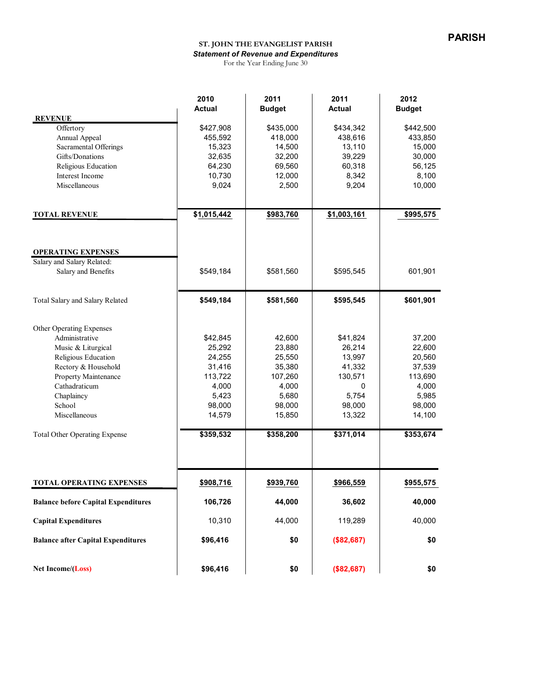### **ST. JOHN THE EVANGELIST PARISH** *Statement of Revenue and Expenditures*

For the Year Ending June 30

|                                            | 2010          | 2011          | 2011                 | 2012          |
|--------------------------------------------|---------------|---------------|----------------------|---------------|
|                                            | <b>Actual</b> | <b>Budget</b> | <b>Actual</b>        | <b>Budget</b> |
| <b>REVENUE</b>                             | \$427,908     | \$435,000     |                      | \$442,500     |
| Offertory<br>Annual Appeal                 | 455,592       | 418,000       | \$434,342<br>438,616 | 433,850       |
| Sacramental Offerings                      | 15,323        | 14,500        | 13,110               | 15,000        |
| Gifts/Donations                            | 32,635        | 32,200        | 39,229               | 30,000        |
| Religious Education                        | 64,230        | 69,560        | 60,318               | 56,125        |
| Interest Income                            | 10,730        | 12,000        | 8,342                | 8,100         |
| Miscellaneous                              | 9,024         | 2,500         | 9,204                | 10,000        |
|                                            |               |               |                      |               |
| <b>TOTAL REVENUE</b>                       | \$1,015,442   | \$983,760     | \$1,003,161          | \$995,575     |
|                                            |               |               |                      |               |
| <b>OPERATING EXPENSES</b>                  |               |               |                      |               |
| Salary and Salary Related:                 |               |               |                      |               |
| Salary and Benefits                        | \$549,184     | \$581,560     | \$595,545            | 601,901       |
| Total Salary and Salary Related            | \$549,184     | \$581,560     | \$595,545            | \$601,901     |
| Other Operating Expenses                   |               |               |                      |               |
| Administrative                             | \$42,845      | 42,600        | \$41,824             | 37,200        |
| Music & Liturgical                         | 25,292        | 23,880        | 26,214               | 22,600        |
| Religious Education                        | 24,255        | 25,550        | 13,997               | 20,560        |
| Rectory & Household                        | 31,416        | 35,380        | 41,332               | 37,539        |
| Property Maintenance                       | 113,722       | 107,260       | 130,571              | 113,690       |
| Cathadraticum                              | 4,000         | 4,000         | 0                    | 4,000         |
| Chaplaincy                                 | 5,423         | 5,680         | 5,754                | 5,985         |
| School                                     | 98,000        | 98,000        | 98,000               | 98,000        |
| Miscellaneous                              | 14,579        | 15,850        | 13,322               | 14,100        |
| <b>Total Other Operating Expense</b>       | \$359,532     | \$358,200     | \$371,014            | \$353,674     |
|                                            |               |               |                      |               |
| <b>TOTAL OPERATING EXPENSES</b>            | \$908,716     | \$939,760     | \$966,559            | \$955,575     |
| <b>Balance before Capital Expenditures</b> | 106,726       | 44,000        | 36,602               | 40,000        |
| <b>Capital Expenditures</b>                | 10,310        | 44,000        | 119,289              | 40,000        |
| <b>Balance after Capital Expenditures</b>  | \$96,416      | \$0           | (\$82,687)           | \$0           |
|                                            |               |               |                      |               |
| Net Income/(Loss)                          | \$96,416      | \$0           | (\$82,687)           | \$0           |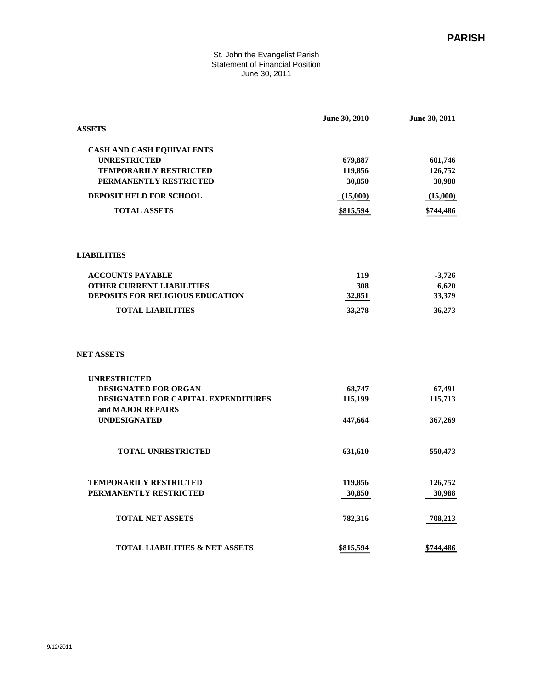#### St. John the Evangelist Parish Statement of Financial Position June 30, 2011

| <b>ASSETS</b>                                            | June 30, 2010 | June 30, 2011 |
|----------------------------------------------------------|---------------|---------------|
|                                                          |               |               |
| <b>CASH AND CASH EQUIVALENTS</b>                         |               |               |
| <b>UNRESTRICTED</b>                                      | 679,887       | 601,746       |
| <b>TEMPORARILY RESTRICTED</b>                            | 119,856       | 126,752       |
| PERMANENTLY RESTRICTED                                   | 30,850        | 30,988        |
| <b>DEPOSIT HELD FOR SCHOOL</b>                           | (15,000)      | (15,000)      |
| <b>TOTAL ASSETS</b>                                      | \$815,594     | \$744,486     |
| <b>LIABILITIES</b>                                       |               |               |
| <b>ACCOUNTS PAYABLE</b>                                  | 119           | $-3,726$      |
| <b>OTHER CURRENT LIABILITIES</b>                         | 308           | 6,620         |
| DEPOSITS FOR RELIGIOUS EDUCATION                         | 32,851        | 33,379        |
| <b>TOTAL LIABILITIES</b>                                 | 33,278        | 36,273        |
| <b>NET ASSETS</b>                                        |               |               |
| <b>UNRESTRICTED</b>                                      |               |               |
| <b>DESIGNATED FOR ORGAN</b>                              | 68,747        | 67,491        |
| DESIGNATED FOR CAPITAL EXPENDITURES<br>and MAJOR REPAIRS | 115,199       | 115,713       |
| <b>UNDESIGNATED</b>                                      | 447,664       | 367,269       |
| <b>TOTAL UNRESTRICTED</b>                                | 631,610       | 550,473       |
| <b>TEMPORARILY RESTRICTED</b>                            | 119,856       | 126,752       |
| PERMANENTLY RESTRICTED                                   | 30,850        | 30,988        |
|                                                          |               |               |
| <b>TOTAL NET ASSETS</b>                                  | 782,316       | 708,213       |
| <b>TOTAL LIABILITIES &amp; NET ASSETS</b>                | \$815,594     | \$744,486     |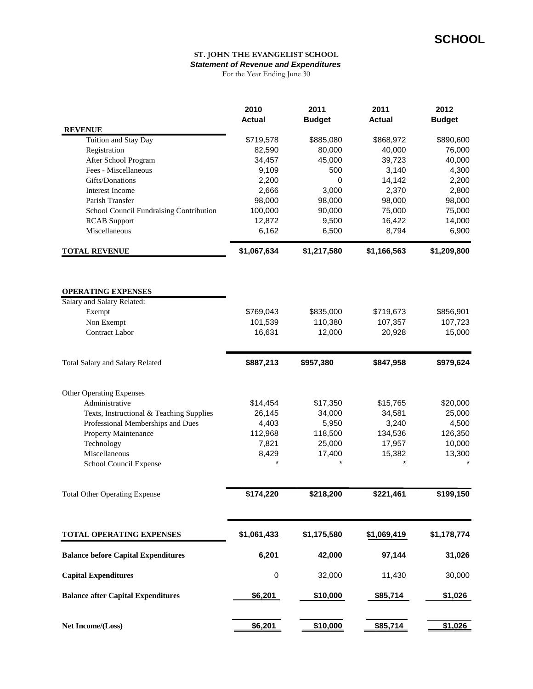#### **ST. JOHN THE EVANGELIST SCHOOL** *Statement of Revenue and Expenditures*

For the Year Ending June 30

|                                            | 2010<br><b>Actual</b> | 2011<br><b>Budget</b> | 2011<br><b>Actual</b> | 2012<br><b>Budget</b> |
|--------------------------------------------|-----------------------|-----------------------|-----------------------|-----------------------|
| <b>REVENUE</b>                             |                       |                       |                       |                       |
| Tuition and Stay Day                       | \$719,578             | \$885,080             | \$868,972             | \$890,600             |
| Registration                               | 82,590                | 80,000                | 40,000                | 76,000                |
| After School Program                       | 34,457                | 45,000                | 39,723                | 40,000                |
| Fees - Miscellaneous                       | 9,109                 | 500                   | 3,140                 | 4,300                 |
| Gifts/Donations                            | 2,200                 | 0                     | 14,142                | 2,200                 |
| Interest Income                            | 2,666                 | 3,000                 | 2,370                 | 2,800                 |
| Parish Transfer                            | 98,000                | 98,000                | 98,000                | 98,000                |
| School Council Fundraising Contribution    | 100,000               | 90,000                | 75,000                | 75,000                |
| <b>RCAB</b> Support                        | 12,872                | 9,500                 | 16,422                | 14,000                |
| Miscellaneous                              | 6,162                 | 6,500                 | 8,794                 | 6,900                 |
| <b>TOTAL REVENUE</b>                       | \$1,067,634           | \$1,217,580           | \$1,166,563           | \$1,209,800           |
|                                            |                       |                       |                       |                       |
| <b>OPERATING EXPENSES</b>                  |                       |                       |                       |                       |
| Salary and Salary Related:                 |                       |                       |                       |                       |
| Exempt                                     | \$769,043             | \$835,000             | \$719,673             | \$856,901             |
| Non Exempt<br><b>Contract Labor</b>        | 101,539<br>16,631     | 110,380<br>12,000     | 107,357<br>20,928     | 107,723<br>15,000     |
|                                            |                       |                       |                       |                       |
| Total Salary and Salary Related            | \$887,213             | \$957,380             | \$847,958             | \$979,624             |
| Other Operating Expenses                   |                       |                       |                       |                       |
| Administrative                             | \$14,454              | \$17,350              | \$15,765              | \$20,000              |
| Texts, Instructional & Teaching Supplies   | 26,145                | 34,000                | 34,581                | 25,000                |
| Professional Memberships and Dues          | 4,403                 | 5,950                 | 3,240                 | 4,500                 |
| Property Maintenance                       | 112,968               | 118,500               | 134,536               | 126,350               |
| Technology                                 | 7,821                 | 25,000                | 17,957                | 10,000                |
| Miscellaneous                              | 8,429                 | 17,400                | 15,382                | 13,300                |
| School Council Expense                     |                       |                       |                       |                       |
| <b>Total Other Operating Expense</b>       | \$174,220             | \$218,200             | \$221,461             | \$199,150             |
| TOTAL OPERATING EXPENSES                   | \$1,061,433           | \$1,175,580           | \$1,069,419           | \$1,178,774           |
| <b>Balance before Capital Expenditures</b> | 6,201                 | 42,000                | 97,144                | 31,026                |
| <b>Capital Expenditures</b>                | $\pmb{0}$             | 32,000                | 11,430                | 30,000                |
| <b>Balance after Capital Expenditures</b>  | \$6,201               | \$10,000              | \$85,714              | \$1,026               |
| Net Income/(Loss)                          | \$6,201               | \$10,000              | \$85,714              | \$1,026               |